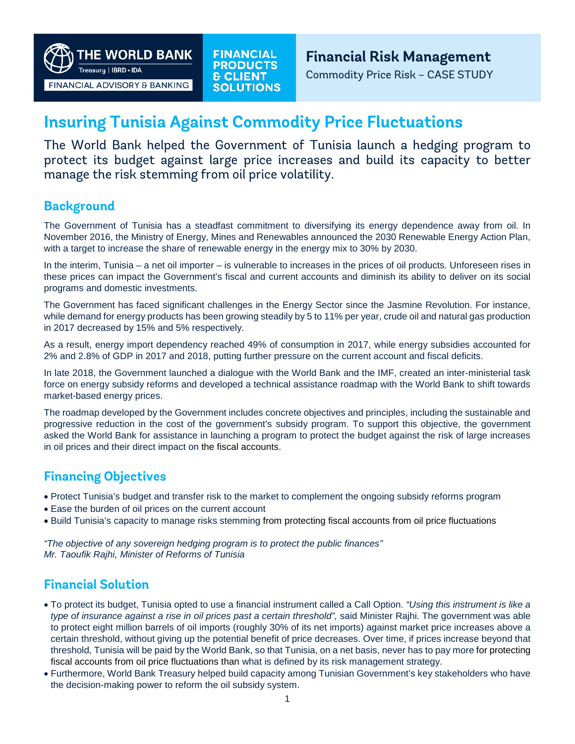**HE WORLD BANK** Treasuru | IBRD • IDA

FINANCIAL ADVISORY & BANKING

**FINANCIAL PRODUCTS & CLIENT SOLUTIONS**  **Financial Risk Management**

Commodity Price Risk – CASE STUDY

# **Insuring Tunisia Against Commodity Price Fluctuations**

The World Bank helped the Government of Tunisia launch a hedging program to protect its budget against large price increases and build its capacity to better manage the risk stemming from oil price volatility.

# **Background**

The Government of Tunisia has a steadfast commitment to diversifying its energy dependence away from oil. In November 2016, the Ministry of Energy, Mines and Renewables announced the 2030 Renewable Energy Action Plan, with a target to increase the share of renewable energy in the energy mix to 30% by 2030.

In the interim, Tunisia – a net oil importer – is vulnerable to increases in the prices of oil products. Unforeseen rises in these prices can impact the Government's fiscal and current accounts and diminish its ability to deliver on its social programs and domestic investments.

The Government has faced significant challenges in the Energy Sector since the Jasmine Revolution. For instance, while demand for energy products has been growing steadily by 5 to 11% per year, crude oil and natural gas production in 2017 decreased by 15% and 5% respectively.

As a result, energy import dependency reached 49% of consumption in 2017, while energy subsidies accounted for 2% and 2.8% of GDP in 2017 and 2018, putting further pressure on the current account and fiscal deficits.

In late 2018, the Government launched a dialogue with the World Bank and the IMF, created an inter-ministerial task force on energy subsidy reforms and developed a technical assistance roadmap with the World Bank to shift towards market-based energy prices.

The roadmap developed by the Government includes concrete objectives and principles, including the sustainable and progressive reduction in the cost of the government's subsidy program. To support this objective, the government asked the World Bank for assistance in launching a program to protect the budget against the risk of large increases in oil prices and their direct impact on the fiscal accounts.

# **Financing Objectives**

- Protect Tunisia's budget and transfer risk to the market to complement the ongoing subsidy reforms program
- Ease the burden of oil prices on the current account
- Build Tunisia's capacity to manage risks stemming from protecting fiscal accounts from oil price fluctuations

*"The objective of any sovereign hedging program is to protect the public finances" Mr. Taoufik Rajhi, Minister of Reforms of Tunisia*

# **Financial Solution**

- To protect its budget, Tunisia opted to use a financial instrument called a Call Option. *"Using this instrument is like a type of insurance against a rise in oil prices past a certain threshold",* said Minister Rajhi. The government was able to protect eight million barrels of oil imports (roughly 30% of its net imports) against market price increases above a certain threshold, without giving up the potential benefit of price decreases. Over time, if prices increase beyond that threshold, Tunisia will be paid by the World Bank, so that Tunisia, on a net basis, never has to pay more for protecting fiscal accounts from oil price fluctuations than what is defined by its risk management strategy.
- Furthermore, World Bank Treasury helped build capacity among Tunisian Government's key stakeholders who have the decision-making power to reform the oil subsidy system.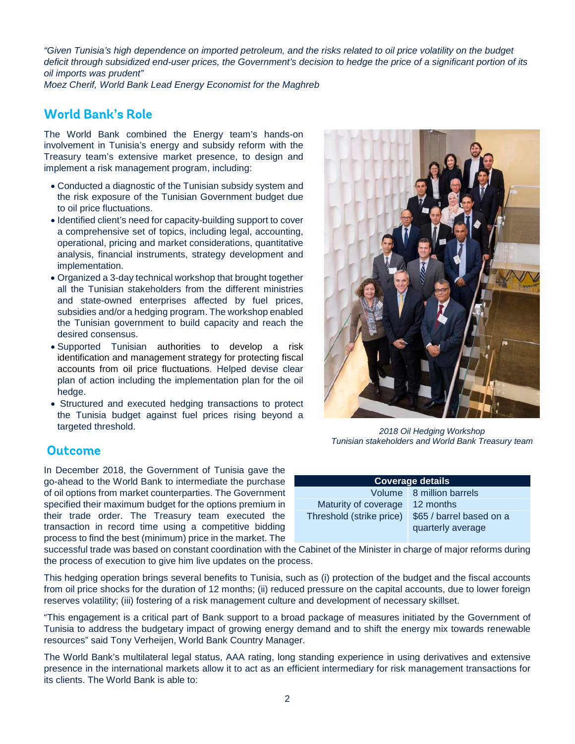*"Given Tunisia's high dependence on imported petroleum, and the risks related to oil price volatility on the budget deficit through subsidized end-user prices, the Government's decision to hedge the price of a significant portion of its oil imports was prudent"*

*Moez Cherif, World Bank Lead Energy Economist for the Maghreb*

### **World Bank's Role**

The World Bank combined the Energy team's hands-on involvement in Tunisia's energy and subsidy reform with the Treasury team's extensive market presence, to design and implement a risk management program, including:

- Conducted a diagnostic of the Tunisian subsidy system and the risk exposure of the Tunisian Government budget due to oil price fluctuations.
- Identified client's need for capacity-building support to cover a comprehensive set of topics, including legal, accounting, operational, pricing and market considerations, quantitative analysis, financial instruments, strategy development and implementation.
- Organized a 3-day technical workshop that brought together all the Tunisian stakeholders from the different ministries and state-owned enterprises affected by fuel prices, subsidies and/or a hedging program. The workshop enabled the Tunisian government to build capacity and reach the desired consensus.
- Supported Tunisian authorities to develop a risk identification and management strategy for protecting fiscal accounts from oil price fluctuations. Helped devise clear plan of action including the implementation plan for the oil hedge.
- Structured and executed hedging transactions to protect the Tunisia budget against fuel prices rising beyond a targeted threshold.

#### **Outcome**

In December 2018, the Government of Tunisia gave the go-ahead to the World Bank to intermediate the purchase of oil options from market counterparties. The Government specified their maximum budget for the options premium in their trade order. The Treasury team executed the transaction in record time using a competitive bidding process to find the best (minimum) price in the market. The

successful trade was based on constant coordination with the Cabinet of the Minister in charge of major reforms during the process of execution to give him live updates on the process.

This hedging operation brings several benefits to Tunisia, such as (i) protection of the budget and the fiscal accounts from oil price shocks for the duration of 12 months; (ii) reduced pressure on the capital accounts, due to lower foreign reserves volatility; (iii) fostering of a risk management culture and development of necessary skillset.

"This engagement is a critical part of Bank support to a broad package of measures initiated by the Government of Tunisia to address the budgetary impact of growing energy demand and to shift the energy mix towards renewable resources" said Tony Verheijen, World Bank Country Manager.

The World Bank's multilateral legal status, AAA rating, long standing experience in using derivatives and extensive presence in the international markets allow it to act as an efficient intermediary for risk management transactions for its clients. The World Bank is able to:



*2018 Oil Hedging Workshop Tunisian stakeholders and World Bank Treasury team* 

| <b>Coverage details</b>  |                                               |
|--------------------------|-----------------------------------------------|
|                          | Volume 8 million barrels                      |
| Maturity of coverage     | 12 months                                     |
| Threshold (strike price) | \$65 / barrel based on a<br>quarterly average |